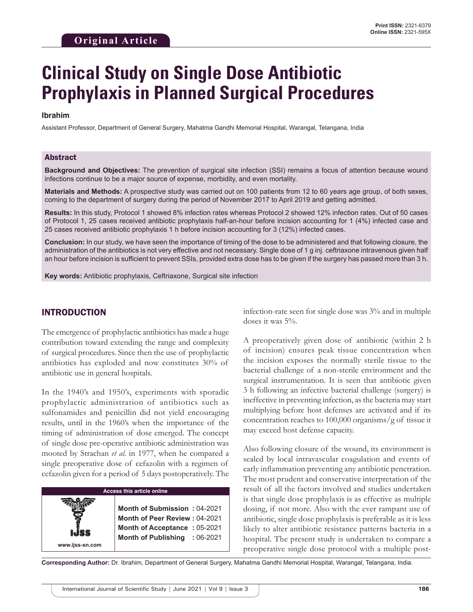# **Clinical Study on Single Dose Antibiotic Prophylaxis in Planned Surgical Procedures**

#### **Ibrahim**

Assistant Professor, Department of General Surgery, Mahatma Gandhi Memorial Hospital, Warangal, Telangana, India

#### Abstract

**Background and Objectives:** The prevention of surgical site infection (SSI) remains a focus of attention because wound infections continue to be a major source of expense, morbidity, and even mortality.

**Materials and Methods:** A prospective study was carried out on 100 patients from 12 to 60 years age group, of both sexes, coming to the department of surgery during the period of November 2017 to April 2019 and getting admitted.

**Results:** In this study, Protocol 1 showed 8% infection rates whereas Protocol 2 showed 12% infection rates. Out of 50 cases of Protocol 1, 25 cases received antibiotic prophylaxis half-an-hour before incision accounting for 1 (4%) infected case and 25 cases received antibiotic prophylaxis 1 h before incision accounting for 3 (12%) infected cases.

**Conclusion:** In our study, we have seen the importance of timing of the dose to be administered and that following closure, the administration of the antibiotics is not very effective and not necessary. Single dose of 1 g inj. ceftriaxone intravenous given half an hour before incision is sufficient to prevent SSIs, provided extra dose has to be given if the surgery has passed more than 3 h.

**Key words:** Antibiotic prophylaxis, Ceftriaxone, Surgical site infection

## INTRODUCTION

**www.ijss-sn.com**

The emergence of prophylactic antibiotics has made a huge contribution toward extending the range and complexity of surgical procedures. Since then the use of prophylactic antibiotics has exploded and now constitutes 30% of antibiotic use in general hospitals.

In the 1940's and 1950's, experiments with sporadic prophylactic administration of antibiotics such as sulfonamides and penicillin did not yield encouraging results, until in the 1960's when the importance of the timing of administration of dose emerged. The concept of single dose pre-operative antibiotic administration was mooted by Strachan *et al.* in 1977, when he compared a single preoperative dose of cefazolin with a regimen of cefazolin given for a period of 5 days postoperatively. The

#### **Access this article online**

**Month of Submission :** 04-2021 **Month of Peer Review :** 04-2021 **Month of Acceptance :** 05-2021 **Month of Publishing :** 06-2021 infection-rate seen for single dose was 3% and in multiple doses it was 5%.

A preoperatively given dose of antibiotic (within 2 h of incision) ensures peak tissue concentration when the incision exposes the normally sterile tissue to the bacterial challenge of a non-sterile environment and the surgical instrumentation. It is seen that antibiotic given 3 h following an infective bacterial challenge (surgery) is ineffective in preventing infection, as the bacteria may start multiplying before host defenses are activated and if its concentration reaches to 100,000 organisms/g of tissue it may exceed host defense capacity.

Also following closure of the wound, its environment is sealed by local intravascular coagulation and events of early inflammation preventing any antibiotic penetration. The most prudent and conservative interpretation of the result of all the factors involved and studies undertaken is that single dose prophylaxis is as effective as multiple dosing, if not more. Also with the ever rampant use of antibiotic, single dose prophylaxis is preferable as it is less likely to alter antibiotic resistance patterns bacteria in a hospital. The present study is undertaken to compare a preoperative single dose protocol with a multiple post-

**Corresponding Author:** Dr. Ibrahim, Department of General Surgery, Mahatma Gandhi Memorial Hospital, Warangal, Telangana, India.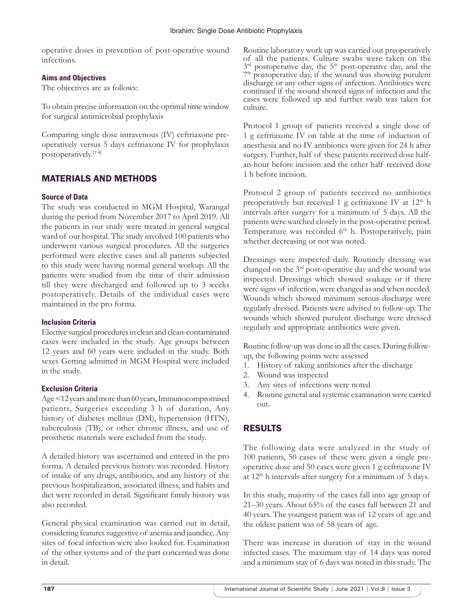operative doses in prevention of post-operative wound infections.

## **Aims and Objectives**

The objectives are as follows:

To obtain precise information on the optimal time window for surgical antimicrobial prophylaxis

Comparing single dose intravenous (IV) ceftriaxone preoperatively versus 5 days ceftriaxone IV for prophylaxis postoperatively.[1-4]

# MATERIALS AND METHODS

## **Source of Data**

The study was conducted in MGM Hospital, Warangal during the period from November 2017 to April 2019. All the patients in our study were treated in general surgical ward of our hospital. The study involved 100 patients who underwent various surgical procedures. All the surgeries performed were elective cases and all patients subjected to this study were having normal general workup. All the patients were studied from the time of their admission till they were discharged and followed up to 3 weeks postoperatively. Details of the individual cases were maintained in the pro forma.

## **Inclusion Criteria**

Elective surgical procedures in clean and clean-contaminated cases were included in the study. Age groups between 12 years and 60 years were included in the study. Both sexes Getting admitted in MGM Hospital were included in the study.

## **Exclusion Criteria**

Age <12years and more than 60years, Immunocompromised patients, Surgeries exceeding 3 h of duration, Any history of diabetes mellitus (DM), hypertension (HTN), tuberculosis (TB), or other chronic illness, and use of prosthetic materials were excluded from the study.

A detailed history was ascertained and entered in the pro forma. A detailed previous history was recorded. History of intake of any drugs, antibiotics, and any history of the previous hospitalization, associated illness, and habits and diet were recorded in detail. Significant family history was also recorded.

General physical examination was carried out in detail, considering features suggestive of anemia and jaundice. Any sites of focal infection were also looked for. Examination of the other systems and of the part concerned was done in detail.

Routine laboratory work up was carried out preoperatively of all the patients. Culture swabs were taken on the  $3<sup>rd</sup>$  postoperative day, and the postoperative day, the 5<sup>th</sup> post-operative day, and the <sup>7th</sup> postoperative day, if the wound was showing purulent discharge or any other signs of infection. Antibiotics were continued if the wound showed signs of infection and the cases were followed up and further swab was taken for culture.

Protocol 1 group of patients received a single dose of 1 g ceftriaxone IV on table at the time of induction of anesthesia and no IV antibiotics were given for 24 h after surgery. Further, half of these patients received dose halfan-hour before incision and the other half received dose 1 h before incision.

Protocol 2 group of patients received no antibiotics preoperatively but received 1 g ceftriaxone IV at 12<sup>th</sup> h intervals after surgery for a minimum of 5 days. All the patients were watched closely in the post-operative period. Temperature was recorded 6<sup>th</sup> h. Postoperatively, pain whether decreasing or not was noted.

Dressings were inspected daily. Routinely dressing was changed on the 3rd post-operative day and the wound was inspected. Dressings which showed soakage or if there were signs of infection, were changed as and when needed. Wounds which showed minimum serous discharge were regularly dressed. Patients were advised to follow-up. The wounds which showed purulent discharge were dressed regularly and appropriate antibiotics were given.

Routine follow-up was done in all the cases. During followup, the following points were assessed

- 1. History of taking antibiotics after the discharge
- 2. Wound was inspected
- 3. Any sites of infections were noted
- 4. Routine general and systemic examination were carried out.

# RESULTS

The following data were analyzed in the study of 100 patients, 50 cases of these were given a single preoperative dose and 50 cases were given 1 g ceftriaxone IV at  $12<sup>th</sup>$  h intervals after surgery for a minimum of 5 days.

In this study, majority of the cases fall into age group of 21–30 years. About 65% of the cases fall between 21 and 40 years. The youngest patient was of 12 years of age and the oldest patient was of 58 years of age.

There was increase in duration of stay in the wound infected cases. The maximum stay of 14 days was noted and a minimum stay of 6 days was noted in this study. The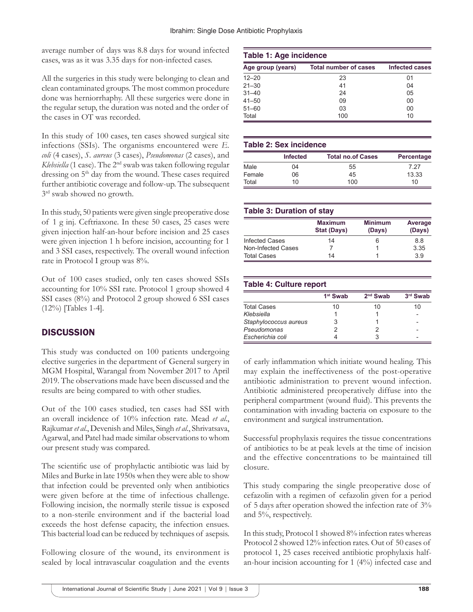average number of days was 8.8 days for wound infected cases, was as it was 3.35 days for non-infected cases.

All the surgeries in this study were belonging to clean and clean contaminated groups. The most common procedure done was herniorrhaphy. All these surgeries were done in the regular setup, the duration was noted and the order of the cases in OT was recorded.

In this study of 100 cases, ten cases showed surgical site infections (SSIs). The organisms encountered were *E. coli* (4 cases), *S. aureus* (3 cases), *Pseudomonas* (2 cases), and *Klebsiella* (1 case). The 2nd swab was taken following regular dressing on 5<sup>th</sup> day from the wound. These cases required further antibiotic coverage and follow-up. The subsequent  $3<sup>rd</sup>$  swab showed no growth.

In this study, 50 patients were given single preoperative dose of 1 g inj. Ceftriaxone. In these 50 cases, 25 cases were given injection half-an-hour before incision and 25 cases were given injection 1 h before incision, accounting for 1 and 3 SSI cases, respectively. The overall wound infection rate in Protocol I group was 8%.

Out of 100 cases studied, only ten cases showed SSIs accounting for 10% SSI rate. Protocol 1 group showed 4 SSI cases (8%) and Protocol 2 group showed 6 SSI cases (12%) [Tables 1-4].

## **DISCUSSION**

This study was conducted on 100 patients undergoing elective surgeries in the department of General surgery in MGM Hospital, Warangal from November 2017 to April 2019. The observations made have been discussed and the results are being compared to with other studies.

Out of the 100 cases studied, ten cases had SSI with an overall incidence of 10% infection rate. Mead *et al*., Rajkumar *et al*., Devenish and Miles, Singh *et al*., Shrivatsava, Agarwal, and Patel had made similar observations to whom our present study was compared.

The scientific use of prophylactic antibiotic was laid by Miles and Burke in late 1950s when they were able to show that infection could be prevented only when antibiotics were given before at the time of infectious challenge. Following incision, the normally sterile tissue is exposed to a non-sterile environment and if the bacterial load exceeds the host defense capacity, the infection ensues. This bacterial load can be reduced by techniques of asepsis.

Following closure of the wound, its environment is sealed by local intravascular coagulation and the events

#### **Table 1: Age incidence**

| Age group (years) | <b>Total number of cases</b> | <b>Infected cases</b> |  |
|-------------------|------------------------------|-----------------------|--|
| $12 - 20$         | 23                           | 01                    |  |
| $21 - 30$         | 41                           | 04                    |  |
| $31 - 40$         | 24                           | 05                    |  |
| $41 - 50$         | 09                           | $00\,$                |  |
| $51 - 60$         | 03                           | 00                    |  |
| Total             | 100                          | 10                    |  |

#### **Table 2: Sex incidence**

|        | <b>Infected</b> | <b>Total no.of Cases</b> | Percentage |
|--------|-----------------|--------------------------|------------|
| Male   | 04              | 55                       | 7 27       |
| Female | 06              | 45                       | 13.33      |
| Total  | 10              | 100                      | 10         |

#### **Table 3: Duration of stay**

|                       | <b>Maximum</b><br><b>Stat (Days)</b> | <b>Minimum</b><br>(Days) | Average<br>(Days) |
|-----------------------|--------------------------------------|--------------------------|-------------------|
| <b>Infected Cases</b> | 14                                   | 6                        | 8.8               |
| Non-Infected Cases    |                                      |                          | 3.35              |
| <b>Total Cases</b>    | 14                                   |                          | 39                |

## **Table 4: Culture report**

|                       | 1 <sup>st</sup> Swab | $2nd$ Swab | 3rd Swab |
|-----------------------|----------------------|------------|----------|
| <b>Total Cases</b>    | 10                   | 10         | 10       |
| Klebsiella            |                      |            |          |
| Staphylococcus aureus | 3                    |            |          |
| Pseudomonas           |                      |            |          |
| Escherichia coli      |                      |            |          |

of early inflammation which initiate wound healing. This may explain the ineffectiveness of the post-operative antibiotic administration to prevent wound infection. Antibiotic administered preoperatively diffuse into the peripheral compartment (wound fluid). This prevents the contamination with invading bacteria on exposure to the environment and surgical instrumentation.

Successful prophylaxis requires the tissue concentrations of antibiotics to be at peak levels at the time of incision and the effective concentrations to be maintained till closure.

This study comparing the single preoperative dose of cefazolin with a regimen of cefazolin given for a period of 5 days after operation showed the infection rate of 3% and 5%, respectively.

In this study, Protocol 1 showed 8% infection rates whereas Protocol 2 showed 12% infection rates. Out of 50 cases of protocol 1, 25 cases received antibiotic prophylaxis halfan-hour incision accounting for 1 (4%) infected case and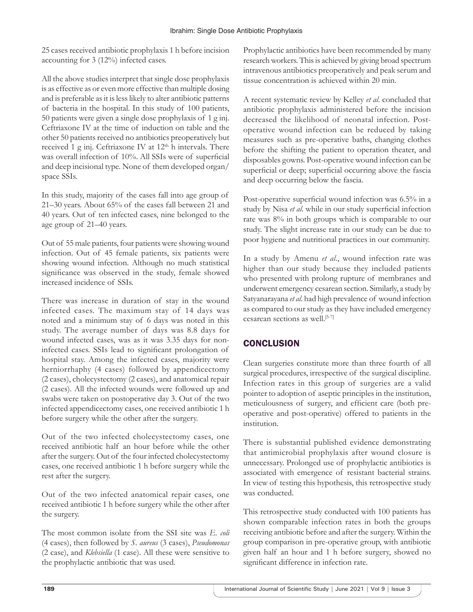25 cases received antibiotic prophylaxis 1 h before incision accounting for 3 (12%) infected cases.

All the above studies interpret that single dose prophylaxis is as effective as or even more effective than multiple dosing and is preferable as it is less likely to alter antibiotic patterns of bacteria in the hospital. In this study of 100 patients, 50 patients were given a single dose prophylaxis of 1 g inj. Ceftriaxone IV at the time of induction on table and the other 50 patients received no antibiotics preoperatively but received 1 g inj. Ceftriaxone IV at 12<sup>th</sup> h intervals. There was overall infection of 10%. All SSIs were of superficial and deep incisional type. None of them developed organ/ space SSIs.

In this study, majority of the cases fall into age group of 21–30 years. About 65% of the cases fall between 21 and 40 years. Out of ten infected cases, nine belonged to the age group of 21–40 years.

Out of 55 male patients, four patients were showing wound infection. Out of 45 female patients, six patients were showing wound infection. Although no much statistical significance was observed in the study, female showed increased incidence of SSIs.

There was increase in duration of stay in the wound infected cases. The maximum stay of 14 days was noted and a minimum stay of 6 days was noted in this study. The average number of days was 8.8 days for wound infected cases, was as it was 3.35 days for noninfected cases. SSIs lead to significant prolongation of hospital stay. Among the infected cases, majority were herniorrhaphy (4 cases) followed by appendicectomy (2 cases), cholecystectomy (2 cases), and anatomical repair (2 cases). All the infected wounds were followed up and swabs were taken on postoperative day 3. Out of the two infected appendicectomy cases, one received antibiotic 1 h before surgery while the other after the surgery.

Out of the two infected cholecystectomy cases, one received antibiotic half an hour before while the other after the surgery. Out of the four infected cholecystectomy cases, one received antibiotic 1 h before surgery while the rest after the surgery.

Out of the two infected anatomical repair cases, one received antibiotic 1 h before surgery while the other after the surgery.

The most common isolate from the SSI site was *E. coli* (4 cases), then followed by *S. aureus* (3 cases), *Pseudomonas* (2 case), and *Klebsiella* (1 case). All these were sensitive to the prophylactic antibiotic that was used.

Prophylactic antibiotics have been recommended by many research workers. This is achieved by giving broad spectrum intravenous antibiotics preoperatively and peak serum and tissue concentration is achieved within 20 min.

A recent systematic review by Kelley *et al*. concluded that antibiotic prophylaxis administered before the incision decreased the likelihood of neonatal infection. Postoperative wound infection can be reduced by taking measures such as pre-operative baths, changing clothes before the shifting the patient to operation theater, and disposables gowns. Post-operative wound infection can be superficial or deep; superficial occurring above the fascia and deep occurring below the fascia.

Post-operative superficial wound infection was 6.5% in a study by Nisa *et al*. while in our study superficial infection rate was 8% in both groups which is comparable to our study. The slight increase rate in our study can be due to poor hygiene and nutritional practices in our community.

In a study by Amenu *et al*., wound infection rate was higher than our study because they included patients who presented with prolong rupture of membranes and underwent emergency cesarean section. Similarly, a study by Satyanarayana *et al*. had high prevalence of wound infection as compared to our study as they have included emergency cesarean sections as well.<sup>[5-7]</sup>

# **CONCLUSION**

Clean surgeries constitute more than three fourth of all surgical procedures, irrespective of the surgical discipline. Infection rates in this group of surgeries are a valid pointer to adoption of aseptic principles in the institution, meticulousness of surgery, and efficient care (both preoperative and post-operative) offered to patients in the institution.

There is substantial published evidence demonstrating that antimicrobial prophylaxis after wound closure is unnecessary. Prolonged use of prophylactic antibiotics is associated with emergence of resistant bacterial strains. In view of testing this hypothesis, this retrospective study was conducted.

This retrospective study conducted with 100 patients has shown comparable infection rates in both the groups receiving antibiotic before and after the surgery. Within the group comparison in pre-operative group, with antibiotic given half an hour and 1 h before surgery, showed no significant difference in infection rate.